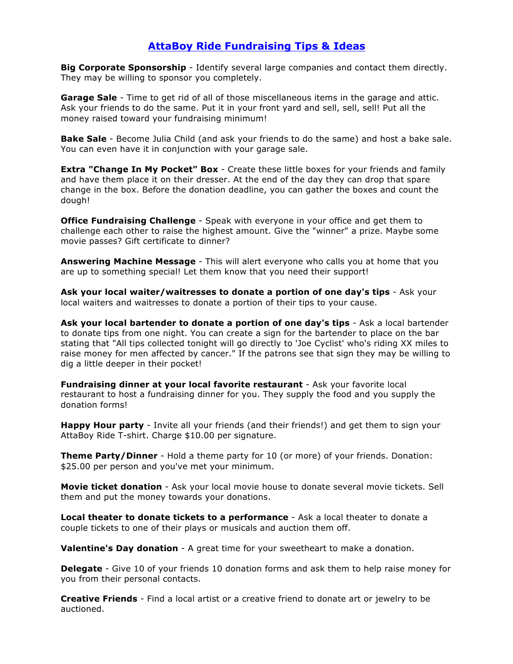## **AttaBoy Ride Fundraising Tips & Ideas**

**Big Corporate Sponsorship** - Identify several large companies and contact them directly. They may be willing to sponsor you completely.

**Garage Sale** - Time to get rid of all of those miscellaneous items in the garage and attic. Ask your friends to do the same. Put it in your front yard and sell, sell, sell! Put all the money raised toward your fundraising minimum!

**Bake Sale** - Become Julia Child (and ask your friends to do the same) and host a bake sale. You can even have it in conjunction with your garage sale.

**Extra "Change In My Pocket" Box** - Create these little boxes for your friends and family and have them place it on their dresser. At the end of the day they can drop that spare change in the box. Before the donation deadline, you can gather the boxes and count the dough!

**Office Fundraising Challenge** - Speak with everyone in your office and get them to challenge each other to raise the highest amount. Give the "winner" a prize. Maybe some movie passes? Gift certificate to dinner?

**Answering Machine Message** - This will alert everyone who calls you at home that you are up to something special! Let them know that you need their support!

**Ask your local waiter/waitresses to donate a portion of one day's tips** - Ask your local waiters and waitresses to donate a portion of their tips to your cause.

**Ask your local bartender to donate a portion of one day's tips** - Ask a local bartender to donate tips from one night. You can create a sign for the bartender to place on the bar stating that "All tips collected tonight will go directly to 'Joe Cyclist' who's riding XX miles to raise money for men affected by cancer." If the patrons see that sign they may be willing to dig a little deeper in their pocket!

**Fundraising dinner at your local favorite restaurant** - Ask your favorite local restaurant to host a fundraising dinner for you. They supply the food and you supply the donation forms!

**Happy Hour party** - Invite all your friends (and their friends!) and get them to sign your AttaBoy Ride T-shirt. Charge \$10.00 per signature.

**Theme Party/Dinner** - Hold a theme party for 10 (or more) of your friends. Donation: \$25.00 per person and you've met your minimum.

**Movie ticket donation** - Ask your local movie house to donate several movie tickets. Sell them and put the money towards your donations.

**Local theater to donate tickets to a performance** - Ask a local theater to donate a couple tickets to one of their plays or musicals and auction them off.

**Valentine's Day donation** - A great time for your sweetheart to make a donation.

**Delegate** - Give 10 of your friends 10 donation forms and ask them to help raise money for you from their personal contacts.

**Creative Friends** - Find a local artist or a creative friend to donate art or jewelry to be auctioned.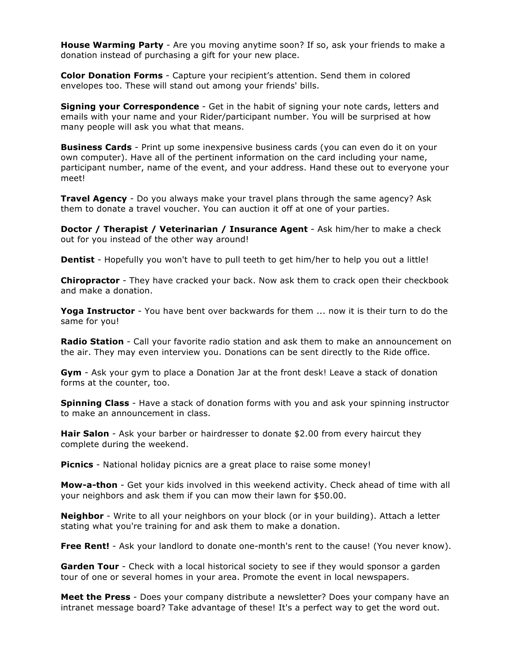**House Warming Party** - Are you moving anytime soon? If so, ask your friends to make a donation instead of purchasing a gift for your new place.

**Color Donation Forms** - Capture your recipient's attention. Send them in colored envelopes too. These will stand out among your friends' bills.

**Signing your Correspondence** - Get in the habit of signing your note cards, letters and emails with your name and your Rider/participant number. You will be surprised at how many people will ask you what that means.

**Business Cards** - Print up some inexpensive business cards (you can even do it on your own computer). Have all of the pertinent information on the card including your name, participant number, name of the event, and your address. Hand these out to everyone your meet!

**Travel Agency** - Do you always make your travel plans through the same agency? Ask them to donate a travel voucher. You can auction it off at one of your parties.

**Doctor / Therapist / Veterinarian / Insurance Agent** - Ask him/her to make a check out for you instead of the other way around!

**Dentist** - Hopefully you won't have to pull teeth to get him/her to help you out a little!

**Chiropractor** - They have cracked your back. Now ask them to crack open their checkbook and make a donation.

**Yoga Instructor** - You have bent over backwards for them ... now it is their turn to do the same for you!

**Radio Station** - Call your favorite radio station and ask them to make an announcement on the air. They may even interview you. Donations can be sent directly to the Ride office.

**Gym** - Ask your gym to place a Donation Jar at the front desk! Leave a stack of donation forms at the counter, too.

**Spinning Class** - Have a stack of donation forms with you and ask your spinning instructor to make an announcement in class.

**Hair Salon** - Ask your barber or hairdresser to donate \$2.00 from every haircut they complete during the weekend.

**Picnics** - National holiday picnics are a great place to raise some money!

**Mow-a-thon** - Get your kids involved in this weekend activity. Check ahead of time with all your neighbors and ask them if you can mow their lawn for \$50.00.

**Neighbor** - Write to all your neighbors on your block (or in your building). Attach a letter stating what you're training for and ask them to make a donation.

**Free Rent!** - Ask your landlord to donate one-month's rent to the cause! (You never know).

**Garden Tour** - Check with a local historical society to see if they would sponsor a garden tour of one or several homes in your area. Promote the event in local newspapers.

**Meet the Press** - Does your company distribute a newsletter? Does your company have an intranet message board? Take advantage of these! It's a perfect way to get the word out.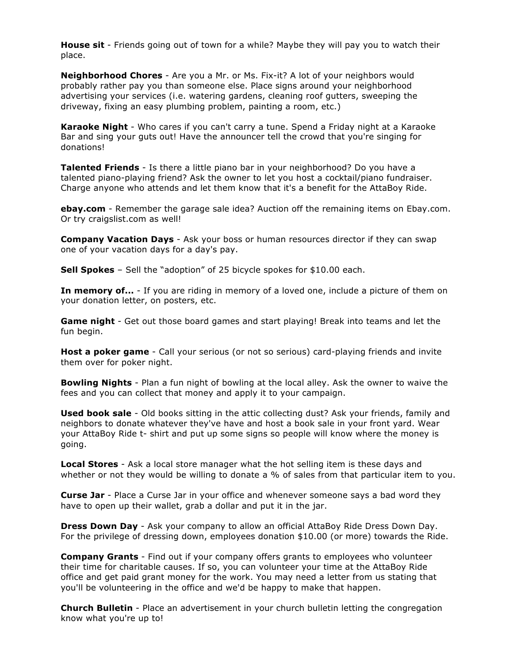**House sit** - Friends going out of town for a while? Maybe they will pay you to watch their place.

**Neighborhood Chores** - Are you a Mr. or Ms. Fix-it? A lot of your neighbors would probably rather pay you than someone else. Place signs around your neighborhood advertising your services (i.e. watering gardens, cleaning roof gutters, sweeping the driveway, fixing an easy plumbing problem, painting a room, etc.)

**Karaoke Night** - Who cares if you can't carry a tune. Spend a Friday night at a Karaoke Bar and sing your guts out! Have the announcer tell the crowd that you're singing for donations!

**Talented Friends** - Is there a little piano bar in your neighborhood? Do you have a talented piano-playing friend? Ask the owner to let you host a cocktail/piano fundraiser. Charge anyone who attends and let them know that it's a benefit for the AttaBoy Ride.

**ebay.com** - Remember the garage sale idea? Auction off the remaining items on Ebay.com. Or try craigslist.com as well!

**Company Vacation Days** - Ask your boss or human resources director if they can swap one of your vacation days for a day's pay.

**Sell Spokes** – Sell the "adoption" of 25 bicycle spokes for \$10.00 each.

**In memory of...** - If you are riding in memory of a loved one, include a picture of them on your donation letter, on posters, etc.

**Game night** - Get out those board games and start playing! Break into teams and let the fun begin.

**Host a poker game** - Call your serious (or not so serious) card-playing friends and invite them over for poker night.

**Bowling Nights** - Plan a fun night of bowling at the local alley. Ask the owner to waive the fees and you can collect that money and apply it to your campaign.

**Used book sale** - Old books sitting in the attic collecting dust? Ask your friends, family and neighbors to donate whatever they've have and host a book sale in your front yard. Wear your AttaBoy Ride t- shirt and put up some signs so people will know where the money is going.

**Local Stores** - Ask a local store manager what the hot selling item is these days and whether or not they would be willing to donate a % of sales from that particular item to you.

**Curse Jar** - Place a Curse Jar in your office and whenever someone says a bad word they have to open up their wallet, grab a dollar and put it in the jar.

**Dress Down Day** - Ask your company to allow an official AttaBoy Ride Dress Down Day. For the privilege of dressing down, employees donation \$10.00 (or more) towards the Ride.

**Company Grants** - Find out if your company offers grants to employees who volunteer their time for charitable causes. If so, you can volunteer your time at the AttaBoy Ride office and get paid grant money for the work. You may need a letter from us stating that you'll be volunteering in the office and we'd be happy to make that happen.

**Church Bulletin** - Place an advertisement in your church bulletin letting the congregation know what you're up to!